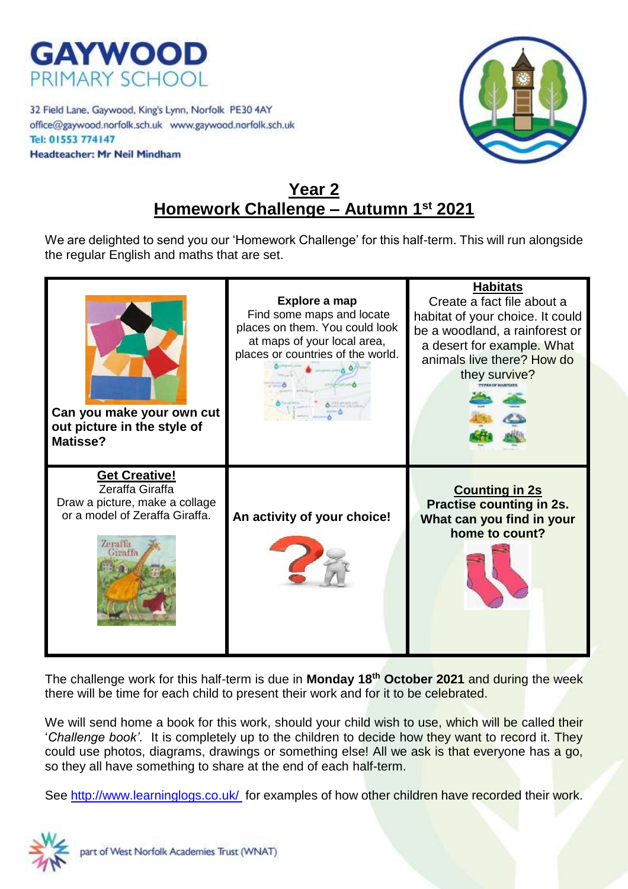

32 Field Lane, Gaywood, King's Lynn, Norfolk PE30 4AY office@gaywood.norfolk.sch.uk www.gaywood.norfolk.sch.uk Tel: 01553 774147 **Headteacher: Mr Neil Mindham** 



## **Year 2 Homework Challenge – Autumn 1st 2021**

We are delighted to send you our 'Homework Challenge' for this half-term. This will run alongside the regular English and maths that are set.



The challenge work for this half-term is due in **Monday 18th October 2021** and during the week there will be time for each child to present their work and for it to be celebrated.

We will send home a book for this work, should your child wish to use, which will be called their '*Challenge book'*. It is completely up to the children to decide how they want to record it. They could use photos, diagrams, drawings or something else! All we ask is that everyone has a go, so they all have something to share at the end of each half-term.

See<http://www.learninglogs.co.uk/> for examples of how other children have recorded their work.